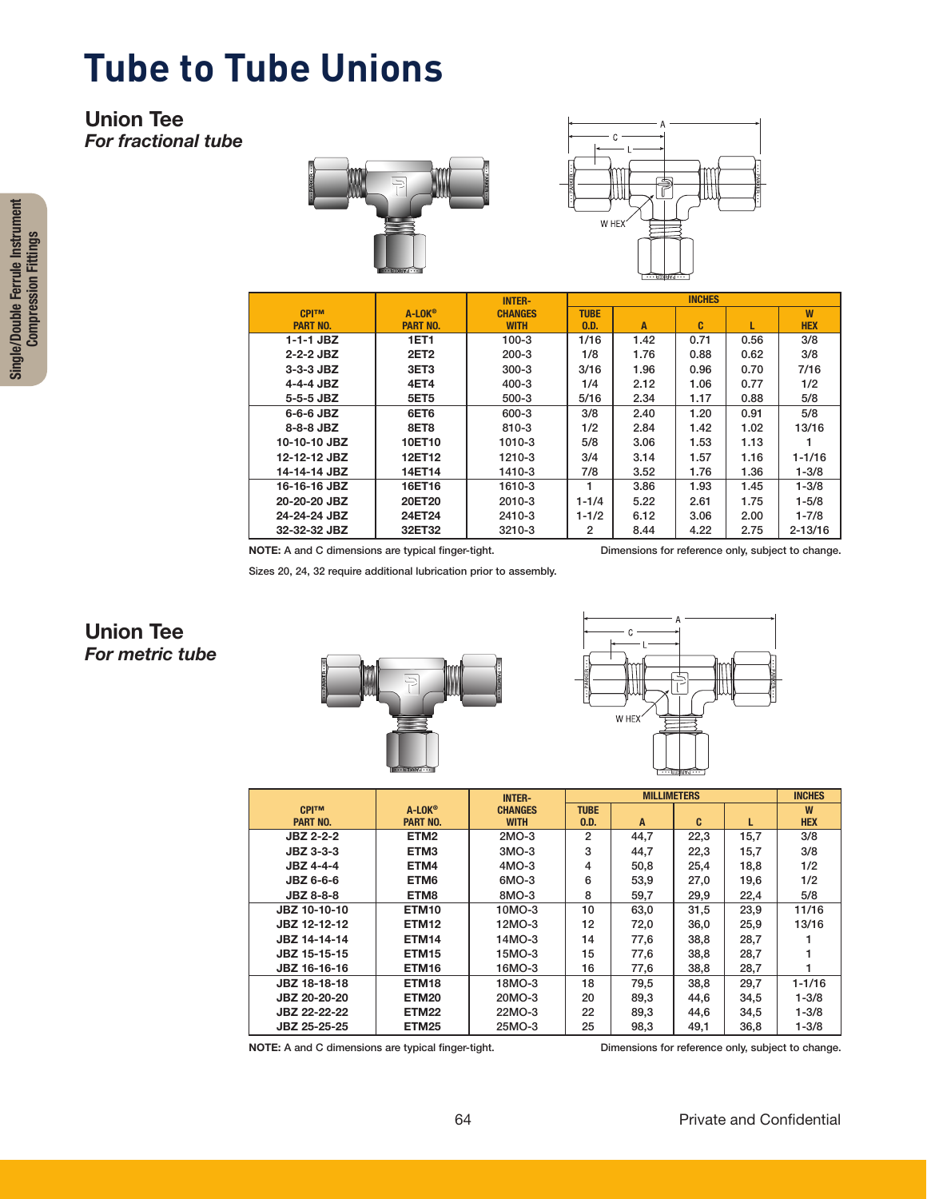## **Tube to Tube Unions**

#### Union Tee *For fractional tube*





|                 |                  | <b>INTER-</b>  | <b>INCHES</b> |      |      |      |             |  |
|-----------------|------------------|----------------|---------------|------|------|------|-------------|--|
| <b>CPITM</b>    | $A-LOK^{\circ}$  | <b>CHANGES</b> | <b>TUBE</b>   |      |      |      | W           |  |
| <b>PART NO.</b> | <b>PART NO.</b>  | <b>WITH</b>    | 0.D.          | A    | C    |      | <b>HEX</b>  |  |
| 1-1-1 JBZ       | <b>1ET1</b>      | $100 - 3$      | 1/16          | 1.42 | 0.71 | 0.56 | 3/8         |  |
| $2 - 2 - 2$ JBZ | <b>2ET2</b>      | $200 - 3$      | 1/8           | 1.76 | 0.88 | 0.62 | 3/8         |  |
| $3-3-3$ JBZ     | 3ET <sub>3</sub> | $300 - 3$      | 3/16          | 1.96 | 0.96 | 0.70 | 7/16        |  |
| $4-4-4$ JBZ     | 4ET4             | $400 - 3$      | 1/4           | 2.12 | 1.06 | 0.77 | 1/2         |  |
| 5-5-5 JBZ       | <b>5ET5</b>      | 500-3          | 5/16          | 2.34 | 1.17 | 0.88 | 5/8         |  |
| $6-6-6$ JBZ     | 6ET6             | 600-3          | 3/8           | 2.40 | 1.20 | 0.91 | 5/8         |  |
| 8-8-8 JBZ       | 8ET8             | $810 - 3$      | 1/2           | 2.84 | 1.42 | 1.02 | 13/16       |  |
| 10-10-10 JBZ    | 10ET10           | 1010-3         | 5/8           | 3.06 | 1.53 | 1.13 |             |  |
| 12-12-12 JBZ    | 12ET12           | 1210-3         | 3/4           | 3.14 | 1.57 | 1.16 | $1 - 1/16$  |  |
| 14-14-14 JBZ    | 14ET14           | 1410-3         | 7/8           | 3.52 | 1.76 | 1.36 | $1 - 3/8$   |  |
| 16-16-16 JBZ    | 16ET16           | 1610-3         |               | 3.86 | 1.93 | 1.45 | $1 - 3/8$   |  |
| 20-20-20 JBZ    | 20ET20           | 2010-3         | $1 - 1/4$     | 5.22 | 2.61 | 1.75 | $1 - 5/8$   |  |
| 24-24-24 JBZ    | 24ET24           | 2410-3         | $1 - 1/2$     | 6.12 | 3.06 | 2.00 | $1 - 7/8$   |  |
| 32-32-32 JBZ    | 32ET32           | 3210-3         | 2             | 8.44 | 4.22 | 2.75 | $2 - 13/16$ |  |

NOTE: A and C dimensions are typical finger-tight. Dimensions for reference only, subject to change.

Sizes 20, 24, 32 require additional lubrication prior to assembly.

### Union Tee *For metric tube*





|                  |                   | <b>INTER-</b>  |                | <b>INCHES</b> |              |      |            |  |
|------------------|-------------------|----------------|----------------|---------------|--------------|------|------------|--|
| <b>CPITM</b>     | A-LOK®            | <b>CHANGES</b> | <b>TUBE</b>    |               |              |      | W          |  |
| <b>PART NO.</b>  | <b>PART NO.</b>   | <b>WITH</b>    | 0.D.           | A             | C.           | L    | <b>HEX</b> |  |
| <b>JBZ 2-2-2</b> | ETM <sub>2</sub>  | 2MO-3          | $\mathfrak{p}$ | 44,7          | 22,3         | 15,7 | 3/8        |  |
| <b>JBZ 3-3-3</b> | ETM <sub>3</sub>  | $3MO-3$        | 3              | 44,7          | 22,3         | 15,7 | 3/8        |  |
| <b>JBZ 4-4-4</b> | ETM4              | $4MO-3$        | 4              | 50,8          | 25,4         | 18,8 | 1/2        |  |
| <b>JBZ 6-6-6</b> | ETM <sub>6</sub>  | 6MO-3          | 6              | 53,9          | 27,0         | 19,6 | 1/2        |  |
| <b>JBZ 8-8-8</b> | ETM8              | 8MO-3          | 8              | 59,7          | 29,9         | 22,4 | 5/8        |  |
| JBZ 10-10-10     | ETM <sub>10</sub> | 10MO-3         | 10             | 63,0          | 31,5         | 23,9 | 11/16      |  |
| JBZ 12-12-12     | ETM <sub>12</sub> | 12MO-3         | 12             | 72,0          | 36,0         | 25,9 | 13/16      |  |
| JBZ 14-14-14     | ETM <sub>14</sub> | 14MO-3         | 14             | 77,6          | 38,8         | 28,7 |            |  |
| JBZ 15-15-15     | ETM <sub>15</sub> | 15MO-3         | 15             | 77,6          | 38,8<br>28.7 |      |            |  |
| JBZ 16-16-16     | ETM <sub>16</sub> | 16MO-3         | 16             | 77,6          | 38,8         | 28,7 |            |  |
| JBZ 18-18-18     | ETM <sub>18</sub> | 18MO-3         | 18             | 79,5          | 38,8         | 29,7 | $1 - 1/16$ |  |
| JBZ 20-20-20     | <b>ETM20</b>      | 20MO-3         | 20             | 89,3          | 44.6         | 34.5 | $1 - 3/8$  |  |
| JBZ 22-22-22     | ETM22             | 22MO-3         | 22             | 89,3          | 44.6         | 34.5 | $1 - 3/8$  |  |
| JBZ 25-25-25     | ETM25             | 25MO-3         | 25             | 98,3          | 49,1         | 36,8 | $1 - 3/8$  |  |

NOTE: A and C dimensions are typical finger-tight. Dimensions for reference only, subject to change.